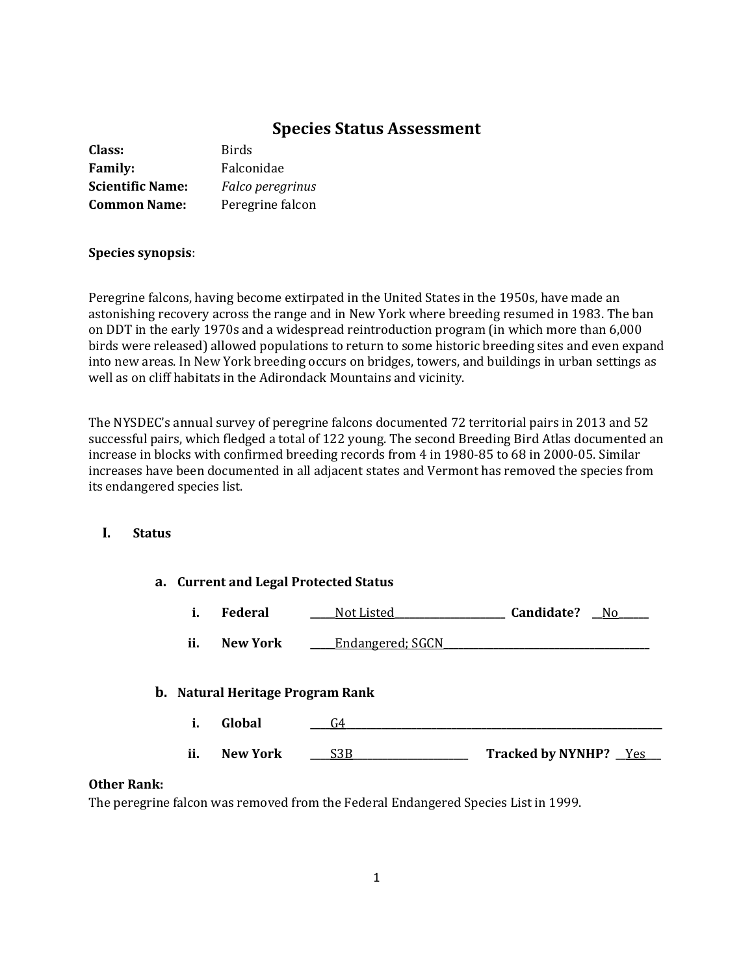# **Species Status Assessment**

| Class:                  | <b>Birds</b>     |
|-------------------------|------------------|
| <b>Family:</b>          | Falconidae       |
| <b>Scientific Name:</b> | Falco peregrinus |
| <b>Common Name:</b>     | Peregrine falcon |

### **Species synopsis**:

Peregrine falcons, having become extirpated in the United States in the 1950s, have made an astonishing recovery across the range and in New York where breeding resumed in 1983. The ban on DDT in the early 1970s and a widespread reintroduction program (in which more than 6,000 birds were released) allowed populations to return to some historic breeding sites and even expand into new areas. In New York breeding occurs on bridges, towers, and buildings in urban settings as well as on cliff habitats in the Adirondack Mountains and vicinity.

The NYSDEC's annual survey of peregrine falcons documented 72 territorial pairs in 2013 and 52 successful pairs, which fledged a total of 122 young. The second Breeding Bird Atlas documented an increase in blocks with confirmed breeding records from 4 in 1980-85 to 68 in 2000-05. Similar increases have been documented in all adjacent states and Vermont has removed the species from its endangered species list.

## **I. Status**

| a. Current and Legal Protected Status |                                         |                  |                              |
|---------------------------------------|-----------------------------------------|------------------|------------------------------|
| i.                                    | <b>Federal</b>                          | Not Listed       | Candidate?<br>No.            |
| ii.                                   | <b>New York</b>                         | Endangered; SGCN |                              |
|                                       | <b>b.</b> Natural Heritage Program Rank |                  |                              |
| i.                                    | Global                                  | G4               |                              |
| ii.                                   | <b>New York</b>                         | S3B              | <b>Tracked by NYNHP?</b> Yes |

### **Other Rank:**

The peregrine falcon was removed from the Federal Endangered Species List in 1999.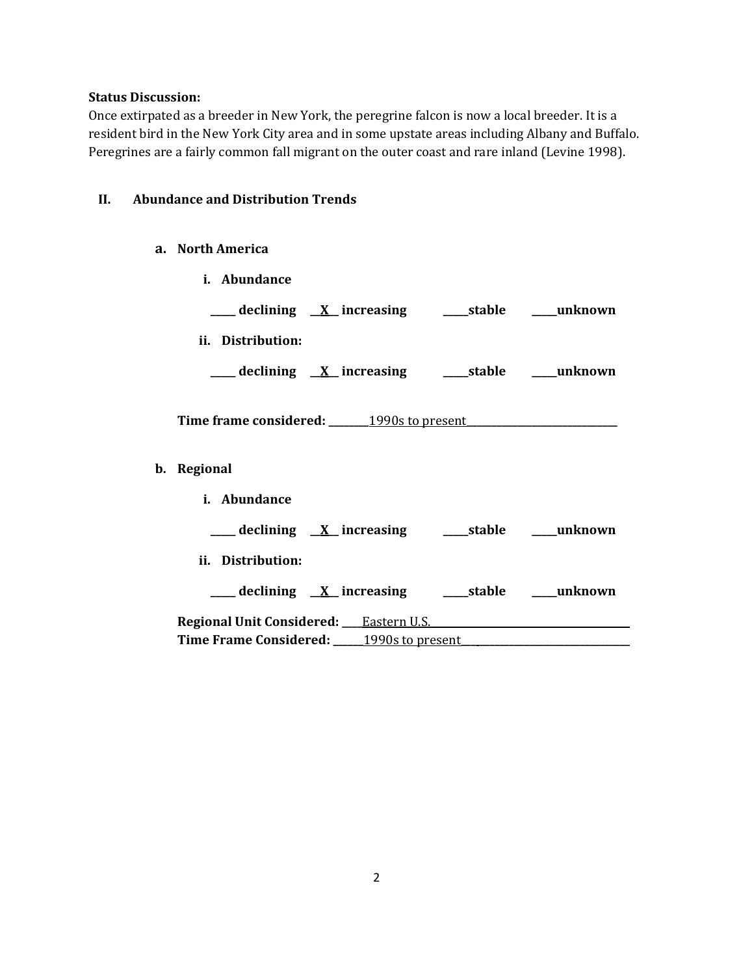## **Status Discussion:**

**b. Regional**

Once extirpated as a breeder in New York, the peregrine falcon is now a local breeder. It is a resident bird in the New York City area and in some upstate areas including Albany and Buffalo. Peregrines are a fairly common fall migrant on the outer coast and rare inland (Levine 1998).

## **II. Abundance and Distribution Trends**

### **a. North America**

| i. Abundance                                             |  |
|----------------------------------------------------------|--|
| ___declining <u>X</u> _increasing ____stable ___unknown  |  |
| ii. Distribution:                                        |  |
| ___ declining <u>X</u> increasing ____stable ____unknown |  |
|                                                          |  |
|                                                          |  |
| Regional                                                 |  |
| i. Abundance                                             |  |
|                                                          |  |
| ii. Distribution:                                        |  |
|                                                          |  |
|                                                          |  |
| Time Frame Considered: 1990s to present                  |  |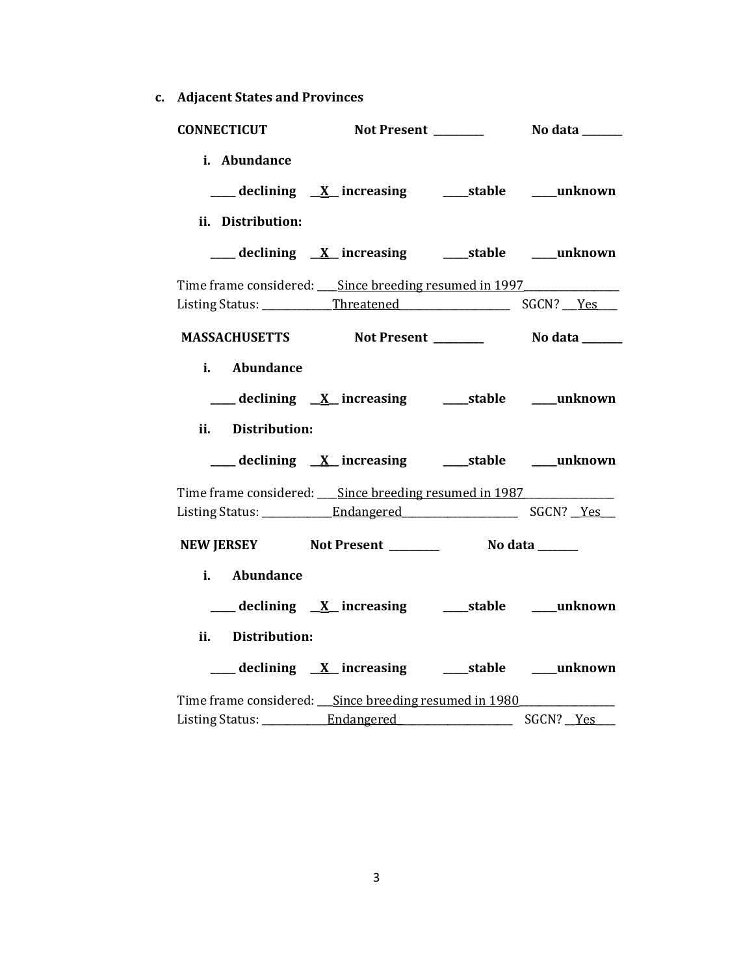**c. Adjacent States and Provinces**

|                   | CONNECTICUT Not Present _________ No data ______            |  |
|-------------------|-------------------------------------------------------------|--|
| i. Abundance      | ___ declining <u>X</u> _increasing ____stable ___unknown    |  |
| ii. Distribution: |                                                             |  |
|                   | ___ declining <u>X</u> increasing ____ stable ____ unknown  |  |
|                   | Time frame considered: Since breeding resumed in 1997       |  |
|                   |                                                             |  |
|                   | MASSACHUSETTS Not Present _________ No data ______          |  |
| i. Abundance      |                                                             |  |
|                   | ___ declining <u>X</u> increasing ____ stable ____ unknown  |  |
| ii. Distribution: |                                                             |  |
|                   | ___declining <u>X</u> _increasing ____stable ___unknown     |  |
|                   | Time frame considered: Since breeding resumed in 1987       |  |
|                   |                                                             |  |
|                   | NEW JERSEY Not Present __________ No data _____             |  |
| Abundance         |                                                             |  |
|                   | ___ declining <u>X</u> increasing ______stable _____unknown |  |
| ii. Distribution: |                                                             |  |
|                   | ___ declining <u>X</u> _increasing _____stable ____unknown  |  |
|                   | Time frame considered: Since breeding resumed in 1980       |  |
|                   |                                                             |  |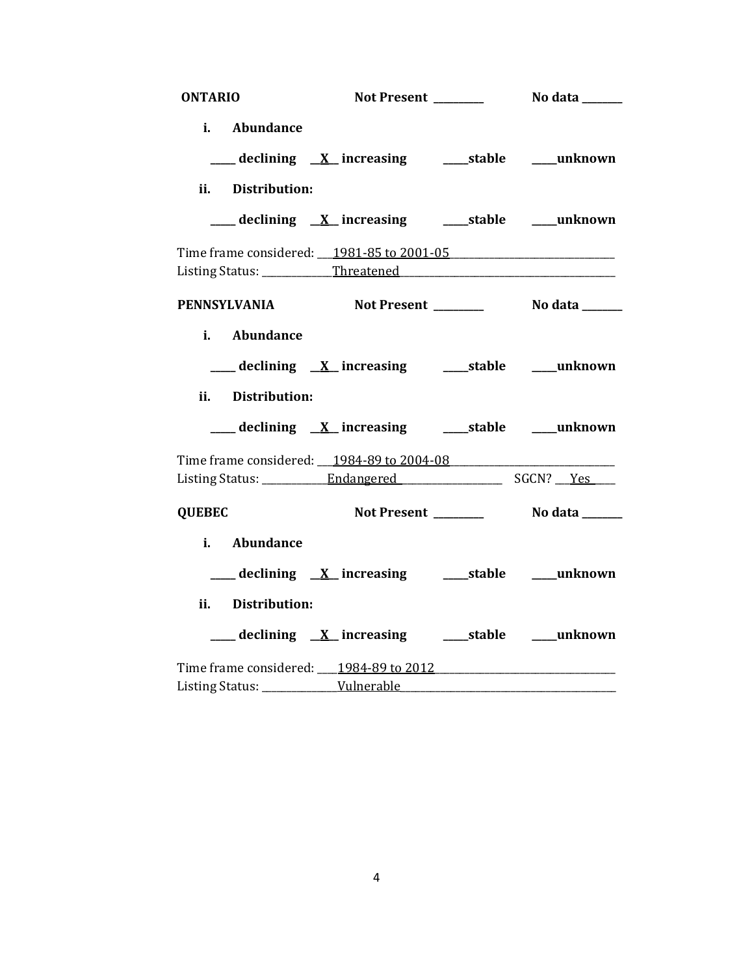| <b>ONTARIO</b>              |                                                               |  |
|-----------------------------|---------------------------------------------------------------|--|
| i. Abundance                |                                                               |  |
|                             | ___ declining <u>X</u> increasing ______stable _____unknown   |  |
| ii. Distribution:           |                                                               |  |
|                             | ___declining <u>X</u> _increasing ____stable ___unknown       |  |
|                             | Time frame considered: 1981-85 to 2001-05                     |  |
| <b>PENNSYLVANIA</b>         |                                                               |  |
| i. Abundance                |                                                               |  |
|                             | ___declining <u>X</u> _increasing ____stable ___unknown       |  |
| <b>Distribution:</b><br>ii. |                                                               |  |
|                             | ___ declining X_ increasing _______stable _____unknown        |  |
|                             | Time frame considered: 1984-89 to 2004-08                     |  |
|                             |                                                               |  |
| <b>QUEBEC</b>               |                                                               |  |
| i. Abundance                |                                                               |  |
|                             | ___ declining X_ increasing _______stable _____unknown        |  |
| ii. Distribution:           |                                                               |  |
|                             | ____ declining <u>X</u> _increasing ______stable _____unknown |  |
|                             | Time frame considered: 1984-89 to 2012                        |  |
|                             |                                                               |  |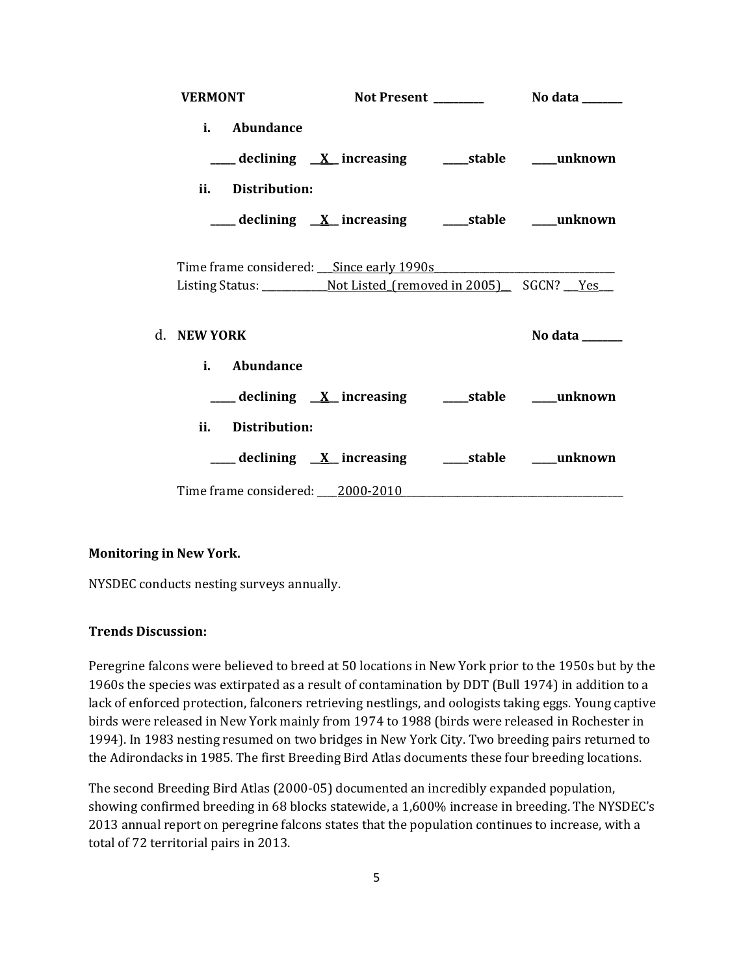| <b>VERMONT</b>                   |                                                                                                                                                                                                |                |
|----------------------------------|------------------------------------------------------------------------------------------------------------------------------------------------------------------------------------------------|----------------|
| i. Abundance                     |                                                                                                                                                                                                |                |
|                                  | ___ declining <u>X</u> increasing ____ stable ____ unknown                                                                                                                                     |                |
| ii. Distribution:                |                                                                                                                                                                                                |                |
|                                  | ___ declining <u>X</u> increasing ____ stable ____ unknown                                                                                                                                     |                |
|                                  | Time frame considered: Since early 1990s Manual Communication of the Since early 1990s<br>Listing Status: _______________________Not Listed_(removed in 2005)_________________________________ |                |
| d. NEW YORK                      |                                                                                                                                                                                                | No data $\_\_$ |
| i. Abundance                     |                                                                                                                                                                                                |                |
|                                  | ____ declining <u>X</u> _increasing _____stable ____unknown                                                                                                                                    |                |
| ii. Distribution:                |                                                                                                                                                                                                |                |
|                                  | ___ declining <u>X</u> increasing ____ stable ____ unknown                                                                                                                                     |                |
| Time frame considered: 2000-2010 |                                                                                                                                                                                                |                |

## **Monitoring in New York.**

NYSDEC conducts nesting surveys annually.

### **Trends Discussion:**

Peregrine falcons were believed to breed at 50 locations in New York prior to the 1950s but by the 1960s the species was extirpated as a result of contamination by DDT (Bull 1974) in addition to a lack of enforced protection, falconers retrieving nestlings, and oologists taking eggs. Young captive birds were released in New York mainly from 1974 to 1988 (birds were released in Rochester in 1994). In 1983 nesting resumed on two bridges in New York City. Two breeding pairs returned to the Adirondacks in 1985. The first Breeding Bird Atlas documents these four breeding locations.

The second Breeding Bird Atlas (2000-05) documented an incredibly expanded population, showing confirmed breeding in 68 blocks statewide, a 1,600% increase in breeding. The NYSDEC's 2013 annual report on peregrine falcons states that the population continues to increase, with a total of 72 territorial pairs in 2013.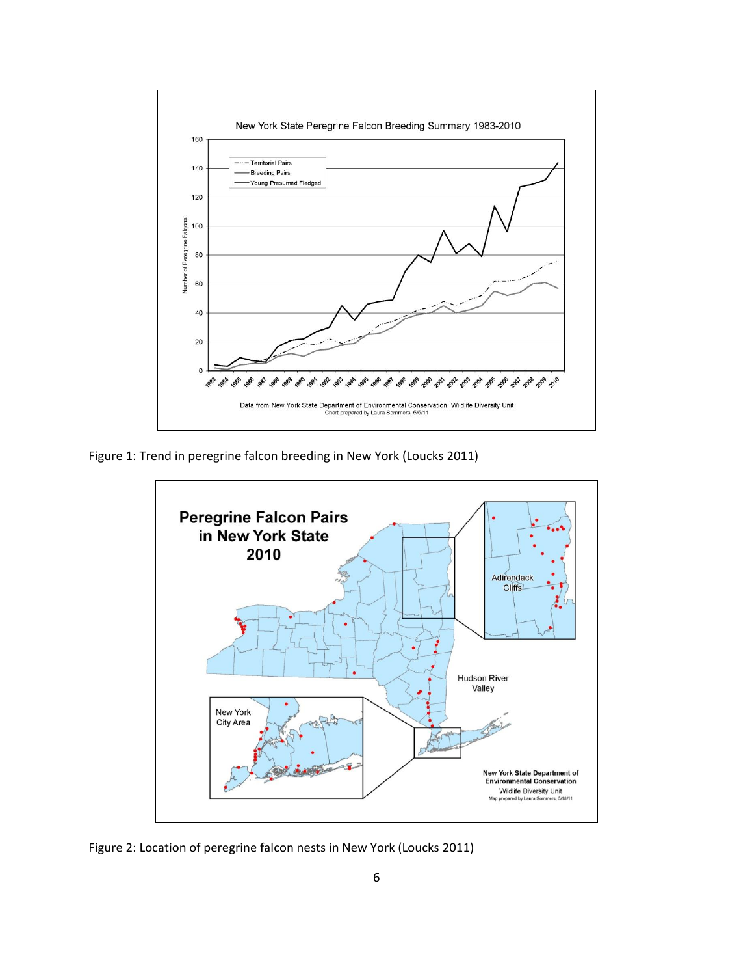

Figure 1: Trend in peregrine falcon breeding in New York (Loucks 2011)



Figure 2: Location of peregrine falcon nests in New York (Loucks 2011)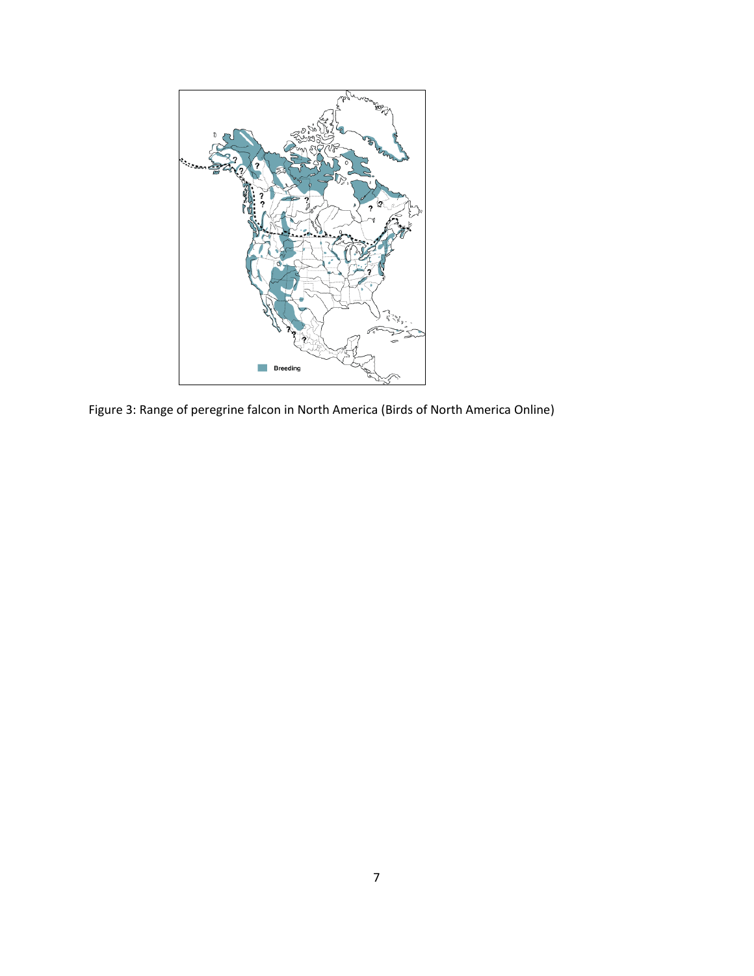

Figure 3: Range of peregrine falcon in North America (Birds of North America Online)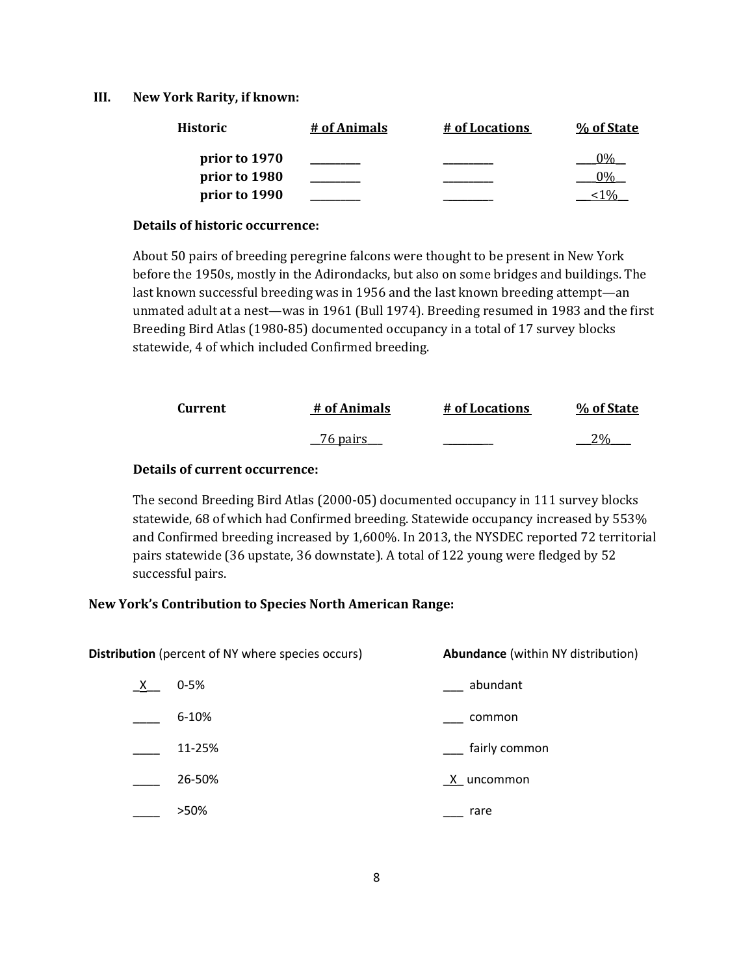### **III. New York Rarity, if known:**

| <b>Historic</b> | # of Animals | # of Locations | % of State |
|-----------------|--------------|----------------|------------|
| prior to 1970   |              |                |            |
| prior to 1980   |              |                |            |
| prior to 1990   |              |                |            |

### **Details of historic occurrence:**

About 50 pairs of breeding peregrine falcons were thought to be present in New York before the 1950s, mostly in the Adirondacks, but also on some bridges and buildings. The last known successful breeding was in 1956 and the last known breeding attempt—an unmated adult at a nest—was in 1961 (Bull 1974). Breeding resumed in 1983 and the first Breeding Bird Atlas (1980-85) documented occupancy in a total of 17 survey blocks statewide, 4 of which included Confirmed breeding.

| Current | # of Animals    | # of Locations | % of State |
|---------|-----------------|----------------|------------|
|         | $\sim$ 76 pairs |                | 2%         |

## **Details of current occurrence:**

The second Breeding Bird Atlas (2000-05) documented occupancy in 111 survey blocks statewide, 68 of which had Confirmed breeding. Statewide occupancy increased by 553% and Confirmed breeding increased by 1,600%. In 2013, the NYSDEC reported 72 territorial pairs statewide (36 upstate, 36 downstate). A total of 122 young were fledged by 52 successful pairs.

### **New York's Contribution to Species North American Range:**

| Distribution (percent of NY where species occurs) |           | <b>Abundance</b> (within NY distribution) |
|---------------------------------------------------|-----------|-------------------------------------------|
| $X_{-}$                                           | $0 - 5%$  | abundant                                  |
|                                                   | $6 - 10%$ | common                                    |
|                                                   | 11-25%    | fairly common                             |
|                                                   | 26-50%    | X uncommon                                |
|                                                   | >50%      | rare                                      |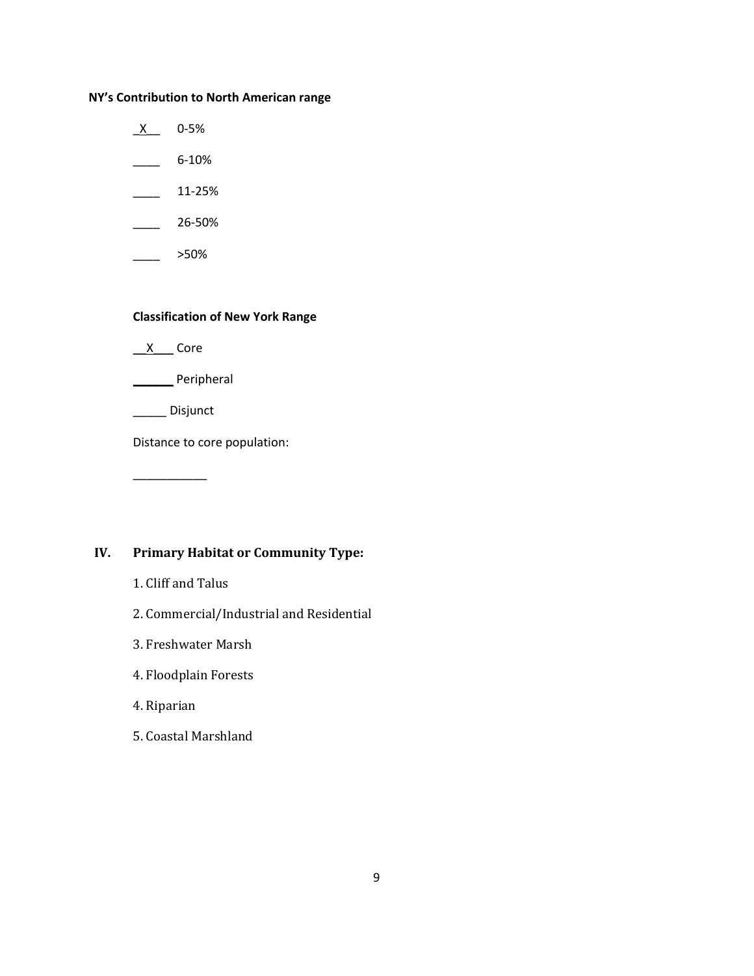### **NY's Contribution to North American range**

- $X$  0-5%
- $\frac{6-10\%}{2}$
- $\frac{11-25\%}{1}$
- $\frac{26-50\%}{26}$
- $\frac{\ }{2}$  >50%

## **Classification of New York Range**

- $X$  Core
- \_\_\_\_\_\_ Peripheral
- \_\_\_\_\_ Disjunct

\_\_\_\_\_\_\_\_\_\_\_

Distance to core population:

# **IV. Primary Habitat or Community Type:**

- 1. Cliff and Talus
- 2. Commercial/Industrial and Residential
- 3. Freshwater Marsh
- 4. Floodplain Forests
- 4. Riparian
- 5. Coastal Marshland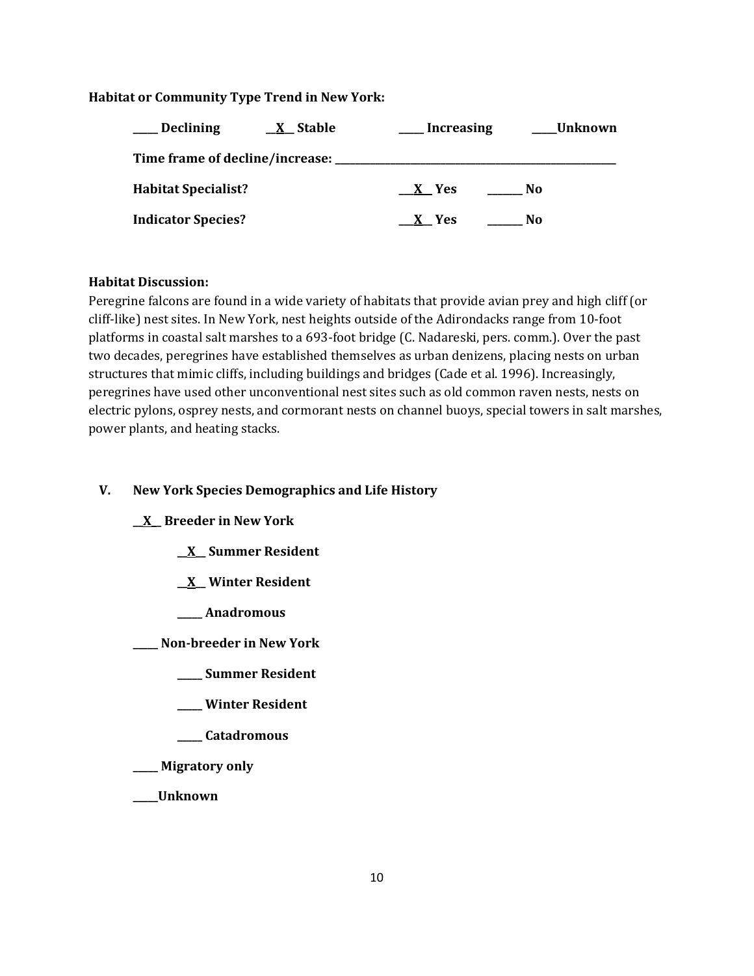## **Habitat or Community Type Trend in New York:**

| <b>Declining</b><br><u>X</u> Stable | <b>Increasing</b> | Unknown |
|-------------------------------------|-------------------|---------|
| Time frame of decline/increase:     |                   |         |
| <b>Habitat Specialist?</b>          | $X$ Yes           | No.     |
| <b>Indicator Species?</b>           | X Yes             | No      |

## **Habitat Discussion:**

Peregrine falcons are found in a wide variety of habitats that provide avian prey and high cliff (or cliff-like) nest sites. In New York, nest heights outside of the Adirondacks range from 10-foot platforms in coastal salt marshes to a 693-foot bridge (C. Nadareski, pers. comm.). Over the past two decades, peregrines have established themselves as urban denizens, placing nests on urban structures that mimic cliffs, including buildings and bridges (Cade et al. 1996). Increasingly, peregrines have used other unconventional nest sites such as old common raven nests, nests on electric pylons, osprey nests, and cormorant nests on channel buoys, special towers in salt marshes, power plants, and heating stacks.

# **V. New York Species Demographics and Life History**

# **\_\_X\_\_ Breeder in New York**

- **\_\_X\_\_ Summer Resident**
- **\_\_X\_\_ Winter Resident**
- **\_\_\_\_\_ Anadromous**
- **\_\_\_\_\_ Non-breeder in New York**
	- **\_\_\_\_\_ Summer Resident**
	- **\_\_\_\_\_ Winter Resident**
	- **\_\_\_\_\_ Catadromous**
- **\_\_\_\_\_ Migratory only**
- **\_\_\_\_\_Unknown**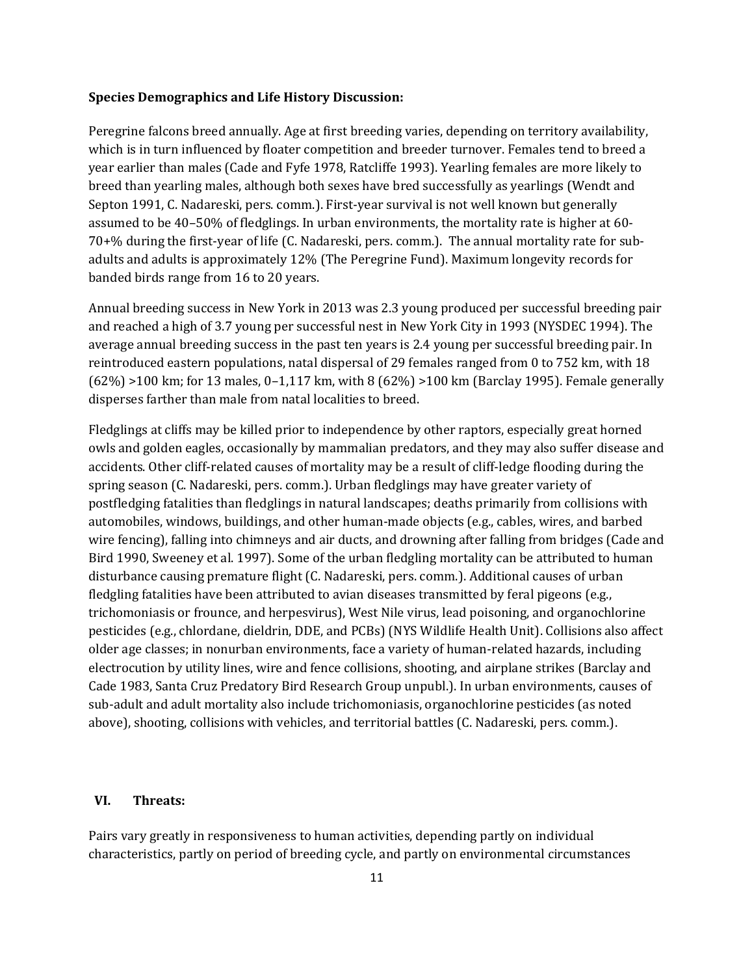#### **Species Demographics and Life History Discussion:**

Peregrine falcons breed annually. Age at first breeding varies, depending on territory availability, which is in turn influenced by floater competition and breeder turnover. Females tend to breed a year earlier than males (Cade and Fyfe 1978, Ratcliffe 1993). Yearling females are more likely to breed than yearling males, although both sexes have bred successfully as yearlings (Wendt and Septon 1991, C. Nadareski, pers. comm.). First-year survival is not well known but generally assumed to be 40–50% of fledglings. In urban environments, the mortality rate is higher at 60- 70+% during the first-year of life (C. Nadareski, pers. comm.). The annual mortality rate for subadults and adults is approximately 12% (The Peregrine Fund). Maximum longevity records for banded birds range from 16 to 20 years.

Annual breeding success in New York in 2013 was 2.3 young produced per successful breeding pair and reached a high of 3.7 young per successful nest in New York City in 1993 (NYSDEC 1994). The average annual breeding success in the past ten years is 2.4 young per successful breeding pair. In reintroduced eastern populations, natal dispersal of 29 females ranged from 0 to 752 km, with 18 (62%) >100 km; for 13 males, 0–1,117 km, with 8 (62%) >100 km (Barclay 1995). Female generally disperses farther than male from natal localities to breed.

Fledglings at cliffs may be killed prior to independence by other raptors, especially great horned owls and golden eagles, occasionally by mammalian predators, and they may also suffer disease and accidents. Other cliff-related causes of mortality may be a result of cliff-ledge flooding during the spring season (C. Nadareski, pers. comm.). Urban fledglings may have greater variety of postfledging fatalities than fledglings in natural landscapes; deaths primarily from collisions with automobiles, windows, buildings, and other human-made objects (e.g., cables, wires, and barbed wire fencing), falling into chimneys and air ducts, and drowning after falling from bridges (Cade and Bird 1990, Sweeney et al. 1997). Some of the urban fledgling mortality can be attributed to human disturbance causing premature flight (C. Nadareski, pers. comm.). Additional causes of urban fledgling fatalities have been attributed to avian diseases transmitted by feral pigeons (e.g., trichomoniasis or frounce, and herpesvirus), West Nile virus, lead poisoning, and organochlorine pesticides (e.g., chlordane, dieldrin, DDE, and PCBs) (NYS Wildlife Health Unit). Collisions also affect older age classes; in nonurban environments, face a variety of human-related hazards, including electrocution by utility lines, wire and fence collisions, shooting, and airplane strikes (Barclay and Cade 1983, Santa Cruz Predatory Bird Research Group unpubl.). In urban environments, causes of sub-adult and adult mortality also include trichomoniasis, organochlorine pesticides (as noted above), shooting, collisions with vehicles, and territorial battles (C. Nadareski, pers. comm.).

## **VI. Threats:**

Pairs vary greatly in responsiveness to human activities, depending partly on individual characteristics, partly on period of breeding cycle, and partly on environmental circumstances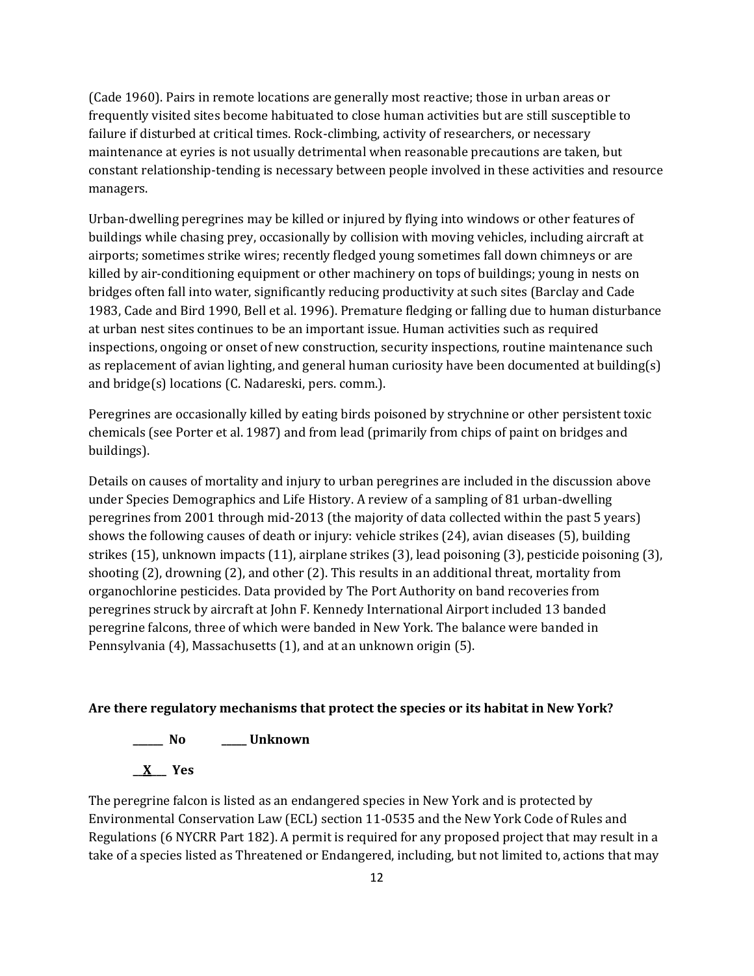(Cade 1960). Pairs in remote locations are generally most reactive; those in urban areas or frequently visited sites become habituated to close human activities but are still susceptible to failure if disturbed at critical times. Rock-climbing, activity of researchers, or necessary maintenance at eyries is not usually detrimental when reasonable precautions are taken, but constant relationship-tending is necessary between people involved in these activities and resource managers.

Urban-dwelling peregrines may be killed or injured by flying into windows or other features of buildings while chasing prey, occasionally by collision with moving vehicles, including aircraft at airports; sometimes strike wires; recently fledged young sometimes fall down chimneys or are killed by air-conditioning equipment or other machinery on tops of buildings; young in nests on bridges often fall into water, significantly reducing productivity at such sites (Barclay and Cade 1983, Cade and Bird 1990, Bell et al. 1996). Premature fledging or falling due to human disturbance at urban nest sites continues to be an important issue. Human activities such as required inspections, ongoing or onset of new construction, security inspections, routine maintenance such as replacement of avian lighting, and general human curiosity have been documented at building(s) and bridge(s) locations (C. Nadareski, pers. comm.).

Peregrines are occasionally killed by eating birds poisoned by strychnine or other persistent toxic chemicals (see Porter et al. 1987) and from lead (primarily from chips of paint on bridges and buildings).

Details on causes of mortality and injury to urban peregrines are included in the discussion above under Species Demographics and Life History. A review of a sampling of 81 urban-dwelling peregrines from 2001 through mid-2013 (the majority of data collected within the past 5 years) shows the following causes of death or injury: vehicle strikes (24), avian diseases (5), building strikes (15), unknown impacts (11), airplane strikes (3), lead poisoning (3), pesticide poisoning (3), shooting (2), drowning (2), and other (2). This results in an additional threat, mortality from organochlorine pesticides. Data provided by The Port Authority on band recoveries from peregrines struck by aircraft at John F. Kennedy International Airport included 13 banded peregrine falcons, three of which were banded in New York. The balance were banded in Pennsylvania (4), Massachusetts (1), and at an unknown origin (5).

### **Are there regulatory mechanisms that protect the species or its habitat in New York?**

**\_\_\_\_\_\_ No \_\_\_\_\_ Unknown**

**\_\_X\_\_\_ Yes** 

The peregrine falcon is listed as an endangered species in New York and is protected by Environmental Conservation Law (ECL) section 11-0535 and the New York Code of Rules and Regulations (6 NYCRR Part 182). A permit is required for any proposed project that may result in a take of a species listed as Threatened or Endangered, including, but not limited to, actions that may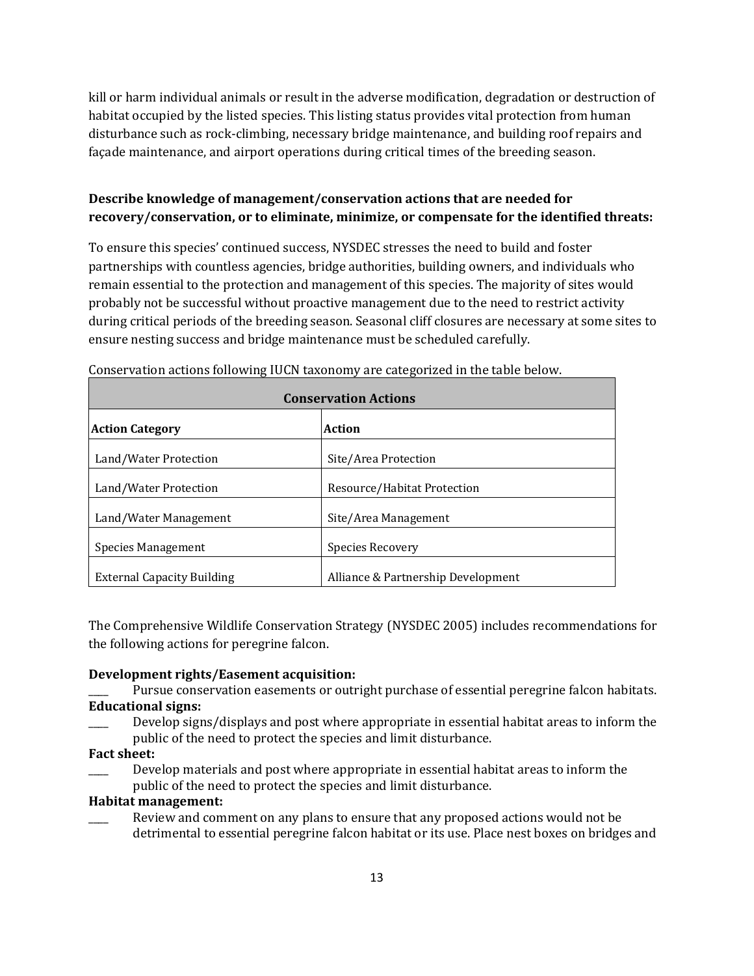kill or harm individual animals or result in the adverse modification, degradation or destruction of habitat occupied by the listed species. This listing status provides vital protection from human disturbance such as rock-climbing, necessary bridge maintenance, and building roof repairs and façade maintenance, and airport operations during critical times of the breeding season.

# **Describe knowledge of management/conservation actions that are needed for recovery/conservation, or to eliminate, minimize, or compensate for the identified threats:**

To ensure this species' continued success, NYSDEC stresses the need to build and foster partnerships with countless agencies, bridge authorities, building owners, and individuals who remain essential to the protection and management of this species. The majority of sites would probably not be successful without proactive management due to the need to restrict activity during critical periods of the breeding season. Seasonal cliff closures are necessary at some sites to ensure nesting success and bridge maintenance must be scheduled carefully.

| <b>Conservation Actions</b>       |                                    |  |
|-----------------------------------|------------------------------------|--|
| <b>Action Category</b>            | Action                             |  |
| Land/Water Protection             | Site/Area Protection               |  |
| Land/Water Protection             | Resource/Habitat Protection        |  |
| Land/Water Management             | Site/Area Management               |  |
| <b>Species Management</b>         | Species Recovery                   |  |
| <b>External Capacity Building</b> | Alliance & Partnership Development |  |

Conservation actions following IUCN taxonomy are categorized in the table below.

The Comprehensive Wildlife Conservation Strategy (NYSDEC 2005) includes recommendations for the following actions for peregrine falcon.

## **Development rights/Easement acquisition:**

- Pursue conservation easements or outright purchase of essential peregrine falcon habitats. **Educational signs:**
- Develop signs/displays and post where appropriate in essential habitat areas to inform the public of the need to protect the species and limit disturbance.
- **Fact sheet:**
- Develop materials and post where appropriate in essential habitat areas to inform the public of the need to protect the species and limit disturbance.

## **Habitat management:**

Review and comment on any plans to ensure that any proposed actions would not be detrimental to essential peregrine falcon habitat or its use. Place nest boxes on bridges and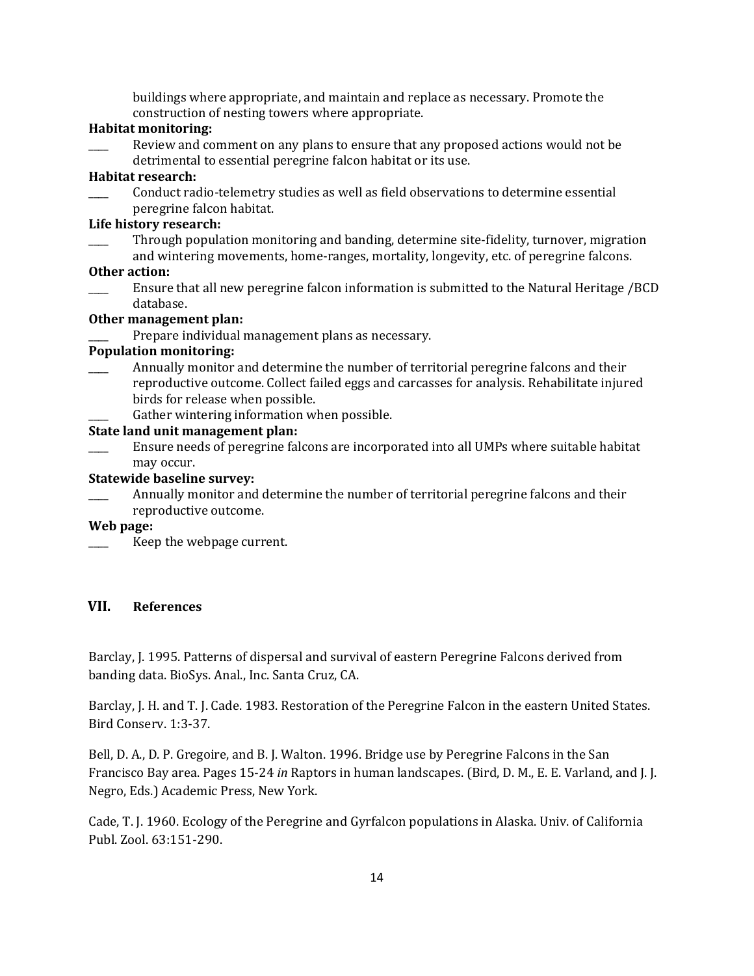buildings where appropriate, and maintain and replace as necessary. Promote the construction of nesting towers where appropriate.

## **Habitat monitoring:**

Review and comment on any plans to ensure that any proposed actions would not be detrimental to essential peregrine falcon habitat or its use.

## **Habitat research:**

\_\_\_\_ Conduct radio-telemetry studies as well as field observations to determine essential peregrine falcon habitat.

### **Life history research:**

\_\_\_\_ Through population monitoring and banding, determine site-fidelity, turnover, migration and wintering movements, home-ranges, mortality, longevity, etc. of peregrine falcons.

### **Other action:**

\_\_\_\_ Ensure that all new peregrine falcon information is submitted to the Natural Heritage /BCD database.

#### **Other management plan:**

Prepare individual management plans as necessary.

### **Population monitoring:**

- Annually monitor and determine the number of territorial peregrine falcons and their reproductive outcome. Collect failed eggs and carcasses for analysis. Rehabilitate injured birds for release when possible.
	- Gather wintering information when possible.

### **State land unit management plan:**

\_\_\_\_ Ensure needs of peregrine falcons are incorporated into all UMPs where suitable habitat may occur.

#### **Statewide baseline survey:**

Annually monitor and determine the number of territorial peregrine falcons and their reproductive outcome.

#### **Web page:**

Keep the webpage current.

### **VII. References**

Barclay, J. 1995. Patterns of dispersal and survival of eastern Peregrine Falcons derived from banding data. BioSys. Anal., Inc. Santa Cruz, CA.

Barclay, J. H. and T. J. Cade. 1983. Restoration of the Peregrine Falcon in the eastern United States. Bird Conserv. 1:3-37.

Bell, D. A., D. P. Gregoire, and B. J. Walton. 1996. Bridge use by Peregrine Falcons in the San Francisco Bay area. Pages 15-24 *in* Raptors in human landscapes. (Bird, D. M., E. E. Varland, and J. J. Negro, Eds.) Academic Press, New York.

Cade, T. J. 1960. Ecology of the Peregrine and Gyrfalcon populations in Alaska. Univ. of California Publ. Zool. 63:151-290.